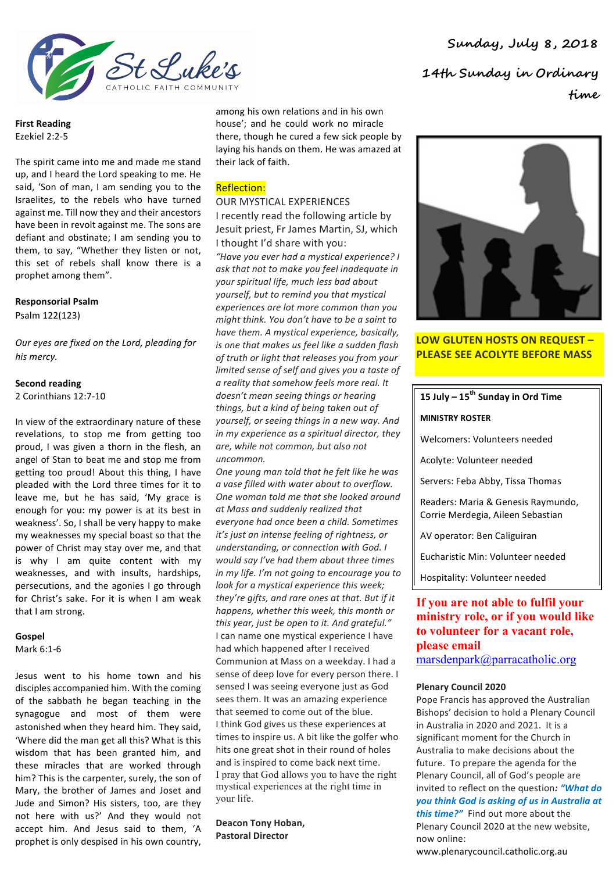

**First Reading** Ezekiel 2:2-5

The spirit came into me and made me stand up, and I heard the Lord speaking to me. He said, 'Son of man, I am sending you to the Israelites, to the rebels who have turned against me. Till now they and their ancestors have been in revolt against me. The sons are defiant and obstinate; I am sending you to them, to say, "Whether they listen or not, this set of rebels shall know there is a prophet among them".

#### **Responsorial Psalm**

Psalm 122(123)

Our eyes are fixed on the Lord, pleading for *his mercy.*

#### **Second reading**

2 Corinthians 12:7-10

In view of the extraordinary nature of these revelations, to stop me from getting too proud, I was given a thorn in the flesh, an angel of Stan to beat me and stop me from getting too proud! About this thing, I have pleaded with the Lord three times for it to leave me, but he has said, 'My grace is enough for you: my power is at its best in weakness'. So, I shall be very happy to make my weaknesses my special boast so that the power of Christ may stay over me, and that is why I am quite content with my weaknesses, and with insults, hardships, persecutions, and the agonies I go through for Christ's sake. For it is when I am weak that I am strong.

# **Gospel**

Mark 6:1-6

Jesus went to his home town and his disciples accompanied him. With the coming of the sabbath he began teaching in the synagogue and most of them were astonished when they heard him. They said, 'Where did the man get all this? What is this wisdom that has been granted him, and these miracles that are worked through him? This is the carpenter, surely, the son of Mary, the brother of James and Joset and Jude and Simon? His sisters, too, are they not here with us?' And they would not accept him. And Jesus said to them, 'A prophet is only despised in his own country,

among his own relations and in his own house'; and he could work no miracle there, though he cured a few sick people by laying his hands on them. He was amazed at their lack of faith.

### Reflection:

### **OUR MYSTICAL EXPERIENCES**

I recently read the following article by Jesuit priest, Fr James Martin, SJ, which I thought I'd share with you: *"Have you ever had a mystical experience? I*  ask that not to make you feel inadequate in *vour spiritual life, much less bad about* yourself, but to remind you that mystical experiences are lot more common than you *might think.* You don't have to be a saint to have them. A mystical experience, basically, *is* one that makes us feel like a sudden flash of truth or light that releases you from your *limited sense of self and gives you a taste of a reality that somehow feels more real. It*  doesn't mean seeing things or hearing things, but a kind of being taken out of *yourself, or seeing things in a new way. And in* my experience as a spiritual director, they *are, while not common, but also not uncommon.*

*One young man told that he felt like he was a vase filled with water about to overflow.*  One woman told me that she looked around *at Mass and suddenly realized that everyone had once been a child. Sometimes it's* just an intense feeling of rightness, or *understanding, or connection with God. I would say I've had them about three times in* my life. I'm not going to encourage you to *look for a mystical experience this week; they're aifts, and rare ones at that. But if it* happens, whether this week, this month or this year, just be open to it. And grateful." I can name one mystical experience I have had which happened after I received Communion at Mass on a weekday. I had a sense of deep love for every person there. I sensed I was seeing everyone just as God sees them. It was an amazing experience that seemed to come out of the blue. I think God gives us these experiences at times to inspire us. A bit like the golfer who hits one great shot in their round of holes and is inspired to come back next time. I pray that God allows you to have the right mystical experiences at the right time in your life.

**Deacon Tony Hoban, Pastoral Director**



### **LOW GLUTEN HOSTS ON REQUEST – PLEASE SEE ACOLYTE BEFORE MASS**

| 15 July – 15 <sup>th</sup> Sunday in Ord Time |
|-----------------------------------------------|
| <b>MINISTRY ROSTER</b>                        |
| Welcomers: Volunteers needed                  |
| Acolyte: Volunteer needed                     |
| Servers: Feba Abby, Tissa Thomas              |

Readers: Maria & Genesis Raymundo, Corrie Merdegia, Aileen Sebastian

AV operator: Ben Caliguiran

Eucharistic Min: Volunteer needed

Hospitality: Volunteer needed

# **If you are not able to fulfil your ministry role, or if you would like to volunteer for a vacant role, please email**

marsdenpark@parracatholic.org

#### **Plenary Council 2020**

Pope Francis has approved the Australian Bishops' decision to hold a Plenary Council in Australia in 2020 and 2021. It is a significant moment for the Church in Australia to make decisions about the future. To prepare the agenda for the Plenary Council, all of God's people are invited to reflect on the question: *"What do you think God is asking of us in Australia at this time?"* Find out more about the

Plenary Council 2020 at the new website. now online: 

www.plenarycouncil.catholic.org.au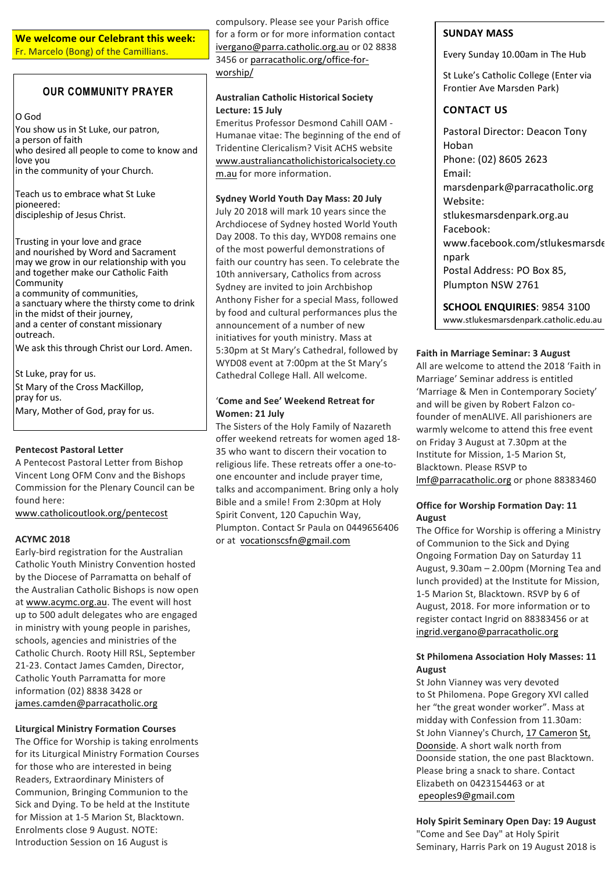### **We welcome our Celebrant this week:** Fr. Marcelo (Bong) of the Camillians.

## **OUR COMMUNITY PRAYER**

#### O God

You show us in St Luke, our patron, a person of faith who desired all people to come to know and love you in the community of your Church.

Teach us to embrace what St Luke pioneered: discipleship of Jesus Christ.

Trusting in your love and grace and nourished by Word and Sacrament may we grow in our relationship with you and together make our Catholic Faith Community a community of communities, a sanctuary where the thirsty come to drink in the midst of their journey, and a center of constant missionary outreach. We ask this through Christ our Lord. Amen.

St Luke, pray for us. St Mary of the Cross MacKillop, pray for us. Mary, Mother of God, pray for us.

#### **Pentecost Pastoral Letter**

A Pentecost Pastoral Letter from Bishop Vincent Long OFM Conv and the Bishops Commission for the Plenary Council can be found here:

www.catholicoutlook.org/pentecost

#### **ACYMC 2018**

Early-bird registration for the Australian Catholic Youth Ministry Convention hosted by the Diocese of Parramatta on behalf of the Australian Catholic Bishops is now open at www.acymc.org.au. The event will host up to 500 adult delegates who are engaged in ministry with young people in parishes, schools, agencies and ministries of the Catholic Church. Rooty Hill RSL, September 21-23. Contact James Camden, Director, Catholic Youth Parramatta for more information (02) 8838 3428 or james.camden@parracatholic.org

### **Liturgical Ministry Formation Courses**

The Office for Worship is taking enrolments for its Liturgical Ministry Formation Courses for those who are interested in being Readers, Extraordinary Ministers of Communion, Bringing Communion to the Sick and Dying. To be held at the Institute for Mission at 1-5 Marion St, Blacktown. Enrolments close 9 August. NOTE: Introduction Session on 16 August is

compulsory. Please see your Parish office for a form or for more information contact ivergano@parra.catholic.org.au or 02 8838 3456 or parracatholic.org/office-forworship/

### **Australian Catholic Historical Society** Lecture: 15 July

Emeritus Professor Desmond Cahill OAM - Humanae vitae: The beginning of the end of Tridentine Clericalism? Visit ACHS website www.australiancatholichistoricalsociety.co m.au for more information.

#### **Sydney World Youth Day Mass: 20 July**

July 20 2018 will mark 10 years since the Archdiocese of Sydney hosted World Youth Day 2008. To this day, WYD08 remains one of the most powerful demonstrations of faith our country has seen. To celebrate the 10th anniversary, Catholics from across Sydney are invited to join Archbishop Anthony Fisher for a special Mass, followed by food and cultural performances plus the announcement of a number of new initiatives for youth ministry. Mass at 5:30pm at St Mary's Cathedral, followed by WYD08 event at 7:00pm at the St Mary's Cathedral College Hall. All welcome.

### 'Come and See' Weekend Retreat for **Women: 21 July**

The Sisters of the Holy Family of Nazareth offer weekend retreats for women aged 18-35 who want to discern their vocation to religious life. These retreats offer a one-toone encounter and include prayer time. talks and accompaniment. Bring only a holy Bible and a smile! From 2:30pm at Holy Spirit Convent, 120 Capuchin Way, Plumpton. Contact Sr Paula on 0449656406 or at vocationscsfn@gmail.com

### **SUNDAY MASS**

Every Sunday 10.00am in The Hub

St Luke's Catholic College (Enter via Frontier Ave Marsden Park)

### **CONTACT US**

Pastoral Director: Deacon Tony Hoban Phone: (02) 8605 2623 Email: marsdenpark@parracatholic.org Website: stlukesmarsdenpark.org.au Facebook: www.facebook.com/stlukesmarsde npark Postal Address: PO Box 85. Plumpton NSW 2761

**SCHOOL ENQUIRIES: 9854 3100** www.stlukesmarsdenpark.catholic.edu.au

### **Faith in Marriage Seminar: 3 August**

All are welcome to attend the 2018 'Faith in Marriage' Seminar address is entitled 'Marriage & Men in Contemporary Society' and will be given by Robert Falzon cofounder of menALIVE. All parishioners are warmly welcome to attend this free event on Friday 3 August at 7.30pm at the Institute for Mission, 1-5 Marion St, Blacktown. Please RSVP to Imf@parracatholic.org or phone 88383460

### **Office for Worship Formation Day: 11 August**

The Office for Worship is offering a Ministry of Communion to the Sick and Dying Ongoing Formation Day on Saturday 11 August,  $9.30$ am  $- 2.00$ pm (Morning Tea and lunch provided) at the Institute for Mission, 1-5 Marion St, Blacktown. RSVP by 6 of August, 2018. For more information or to register contact Ingrid on 88383456 or at ingrid.vergano@parracatholic.org

### **St Philomena Association Holy Masses: 11 August**

St John Vianney was very devoted to St Philomena. Pope Gregory XVI called her "the great wonder worker". Mass at midday with Confession from 11.30am: St John Vianney's Church, 17 Cameron St, Doonside. A short walk north from Doonside station, the one past Blacktown. Please bring a snack to share. Contact Elizabeth on 0423154463 or at epeoples9@gmail.com

**Holy Spirit Seminary Open Day: 19 August** "Come and See Day" at Holy Spirit Seminary, Harris Park on 19 August 2018 is